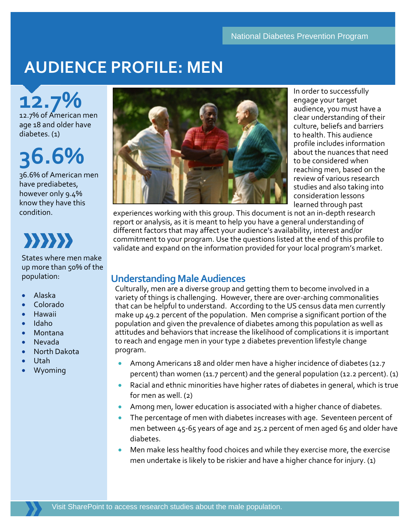## **AUDIENCE PROFILE: MEN**

**12.7%** of American men

age 18 and older have diabetes. (1)

# **36.6%**

36.6% of American men have prediabetes, however only 9.4% know they have this condition.



States where men make up more than 50% of the population:

- Alaska
- Colorado
- Hawaii
- Idaho
- Montana
- Nevada
- North Dakota
- Utah
- Wyoming



In order to successfully engage your target audience, you must have a clear understanding of their culture, beliefs and barriers to health. This audience profile includes information about the nuances that need to be considered when reaching men, based on the review of various research studies and also taking into consideration lessons learned through past

experiences working with this group. This document is not an in-depth research report or analysis, as it is meant to help you have a general understanding of different factors that may affect your audience's availability, interest and/or commitment to your program. Use the questions listed at the end of this profile to validate and expand on the information provided for your local program's market.

## **Understanding Male Audiences**

Culturally, men are a diverse group and getting them to become involved in a variety of things is challenging. However, there are over-arching commonalities that can be helpful to understand. According to the US census data men currently make up 49.2 percent of the population. Men comprise a significant portion of the population and given the prevalence of diabetes among this population as well as attitudes and behaviors that increase the likelihood of complications it is important to reach and engage men in your type 2 diabetes prevention lifestyle change program.

- Among Americans 18 and older men have a higher incidence of diabetes (12.7) percent) than women (11.7 percent) and the general population (12.2 percent). (1)
- Racial and ethnic minorities have higher rates of diabetes in general, which is true for men as well. (2)
- Among men, lower education is associated with a higher chance of diabetes.
- The percentage of men with diabetes increases with age. Seventeen percent of men between 45-65 years of age and 25.2 percent of men aged 65 and older have diabetes.
- Men make less healthy food choices and while they exercise more, the exercise men undertake is likely to be riskier and have a higher chance for injury. (1)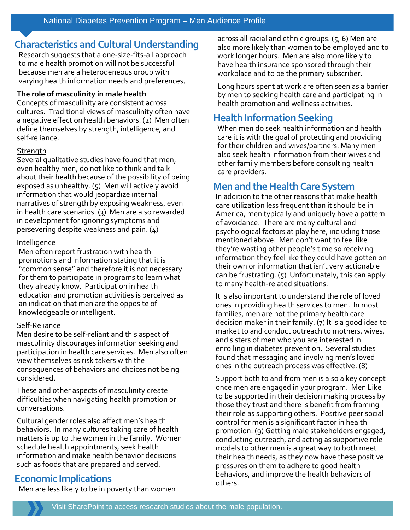## **Characteristics and Cultural Understanding**

Research suggests that a one-size-fits-all approach to male health promotion will not be successful because men are a heterogeneous group with varying health information needs and preferences.

#### **The role of masculinity in male health**

Concepts of masculinity are consistent across cultures. Traditional views of masculinity often have a negative effect on health behaviors. (2) Men often define themselves by strength, intelligence, and self-reliance.

#### **Strength**

Several qualitative studies have found that men, even healthy men, do not like to think and talk about their health because of the possibility of being exposed as unhealthy. (5) Men will actively avoid information that would jeopardize internal narratives of strength by exposing weakness, even in health care scenarios. (3) Men are also rewarded in development for ignoring symptoms and persevering despite weakness and pain. (4)

#### Intelligence

Men often report frustration with health promotions and information stating that it is "common sense" and therefore it is not necessary for them to participate in programs to learn what they already know. Participation in health education and promotion activities is perceived as an indication that men are the opposite of knowledgeable or intelligent.

#### Self-Reliance

Men desire to be self-reliant and this aspect of masculinity discourages information seeking and participation in health care services. Men also often view themselves as risk takers with the consequences of behaviors and choices not being considered.

These and other aspects of masculinity create difficulties when navigating health promotion or conversations.

Cultural gender roles also affect men's health behaviors. In many cultures taking care of health matters is up to the women in the family. Women schedule health appointments, seek health information and make health behavior decisions such as foods that are prepared and served.

## **Economic Implications**

Men are less likely to be in poverty than women

across all racial and ethnic groups. (5, 6) Men are also more likely than women to be employed and to work longer hours. Men are also more likely to have health insurance sponsored through their workplace and to be the primary subscriber.

Long hours spent at work are often seen as a barrier by men to seeking health care and participating in health promotion and wellness activities.

## **Health Information Seeking**

When men do seek health information and health care it is with the goal of protecting and providing for their children and wives/partners. Many men also seek health information from their wives and other family members before consulting health care providers.

## **Men and the Health Care System**

In addition to the other reasons that make health care utilization less frequent than it should be in America, men typically and uniquely have a pattern of avoidance. There are many cultural and psychological factors at play here, including those mentioned above. Men don't want to feel like they're wasting other people's time so receiving information they feel like they could have gotten on their own or information that isn't very actionable can be frustrating. (5) Unfortunately, this can apply to many health-related situations.

It is also important to understand the role of loved ones in providing health services to men. In most families, men are not the primary health care decision maker in their family. (7) It is a good idea to market to and conduct outreach to mothers, wives, and sisters of men who you are interested in enrolling in diabetes prevention. Several studies found that messaging and involving men's loved ones in the outreach process was effective. (8)

Support both to and from men is also a key concept once men are engaged in your program. Men Like to be supported in their decision making process by those they trust and there is benefit from framing their role as supporting others. Positive peer social control for men is a significant factor in health promotion. (9) Getting male stakeholders engaged, conducting outreach, and acting as supportive role models to other men is a great way to both meet their health needs, as they now have these positive pressures on them to adhere to good health behaviors, and improve the health behaviors of others.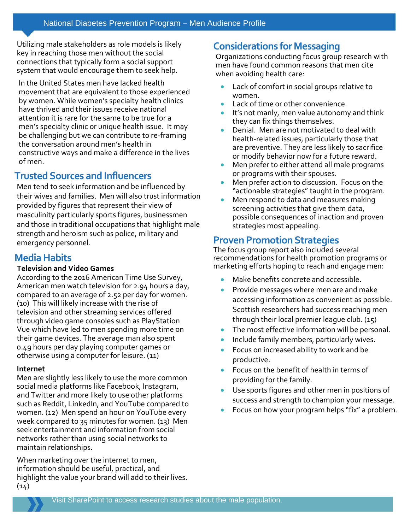Utilizing male stakeholders as role models is likely key in reaching those men without the social connections that typically form a social support system that would encourage them to seek help.

In the United States men have lacked health movement that are equivalent to those experienced by women. While women's specialty health clinics have thrived and their issues receive national attention it is rare for the same to be true for a men's specialty clinic or unique health issue. It may be challenging but we can contribute to re-framing the conversation around men's health in constructive ways and make a difference in the lives of men.

## **Trusted Sources and Influencers**

Men tend to seek information and be influenced by their wives and families. Men will also trust information provided by figures that represent their view of masculinity particularly sports figures, businessmen and those in traditional occupations that highlight male strength and heroism such as police, military and emergency personnel.

## **Media Habits**

#### **Television and Video Games**

According to the 2016 American Time Use Survey, American men watch television for 2.94 hours a day, compared to an average of 2.52 per day for women. (10) This will likely increase with the rise of television and other streaming services offered through video game consoles such as PlayStation Vue which have led to men spending more time on their game devices. The average man also spent 0.49 hours per day playing computer games or otherwise using a computer for leisure. (11)

#### **Internet**

Men are slightly less likely to use the more common social media platforms like Facebook, Instagram, and Twitter and more likely to use other platforms such as Reddit, LinkedIn, and YouTube compared to women. (12) Men spend an hour on YouTube every week compared to 35 minutes for women. (13) Men seek entertainment and information from social networks rather than using social networks to maintain relationships.

When marketing over the internet to men, information should be useful, practical, and highlight the value your brand will add to their lives.  $(14)$ 

## **Considerations for Messaging**

Organizations conducting focus group research with men have found common reasons that men cite when avoiding health care:

- Lack of comfort in social groups relative to women.
- Lack of time or other convenience.
- It's not manly, men value autonomy and think they can fix things themselves.
- Denial. Men are not motivated to deal with health-related issues, particularly those that are preventive. They are less likely to sacrifice or modify behavior now for a future reward.
- Men prefer to either attend all male programs or programs with their spouses.
- Men prefer action to discussion. Focus on the "actionable strategies" taught in the program.
- Men respond to data and measures making screening activities that give them data, possible consequences of inaction and proven strategies most appealing.

## **Proven Promotion Strategies**

The focus group report also included several recommendations for health promotion programs or marketing efforts hoping to reach and engage men:

- Make benefits concrete and accessible.
- Provide messages where men are and make accessing information as convenient as possible. Scottish researchers had success reaching men through their local premier league club. (15)
- The most effective information will be personal.
- Include family members, particularly wives.
- Focus on increased ability to work and be productive.
- Focus on the benefit of health in terms of providing for the family.
- Use sports figures and other men in positions of success and strength to champion your message.
- Focus on how your program helps "fix" a problem.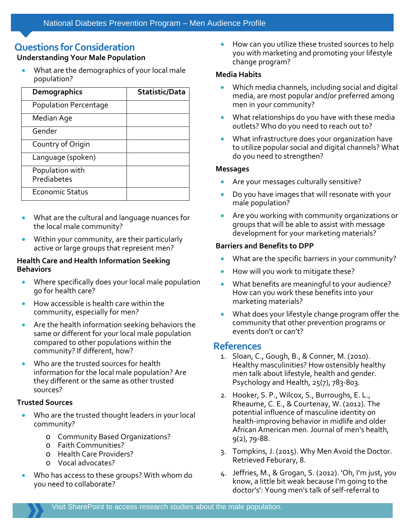## **Questions for Consideration**

#### **Understanding Your Male Population**

• What are the demographics of your local male population?

| <b>Demographics</b>            | Statistic/Data |
|--------------------------------|----------------|
| Population Percentage          |                |
| Median Age                     |                |
| Gender                         |                |
| Country of Origin              |                |
| Language (spoken)              |                |
| Population with<br>Prediabetes |                |
| <b>Economic Status</b>         |                |

- What are the cultural and language nuances for the local male community?
- Within your community, are their particularly active or large groups that represent men?

#### **Health Care and Health Information Seeking Behaviors**

- Where specifically does your local male population go for health care?
- How accessible is health care within the community, especially for men?
- Are the health information seeking behaviors the same or different for your local male population compared to other populations within the community? If different, how?
- Who are the trusted sources for health information for the local male population? Are they different or the same as other trusted sources?

#### **Trusted Sources**

- Who are the trusted thought leaders in your local community?
	- o Community Based Organizations?
	- o Faith Communities?
	- o Health Care Providers?
	- o Vocal advocates?
- Who has access to these groups? With whom do you need to collaborate?

• How can you utilize these trusted sources to help you with marketing and promoting your lifestyle change program?

#### **Media Habits**

- Which media channels, including social and digital media, are most popular and/or preferred among men in your community?
- What relationships do you have with these media outlets? Who do you need to reach out to?
- What infrastructure does your organization have to utilize popular social and digital channels? What do you need to strengthen?

#### **Messages**

- Are your messages culturally sensitive?
- Do you have images that will resonate with your male population?
- Are you working with community organizations or groups that will be able to assist with message development for your marketing materials?

#### **Barriers and Benefits to DPP**

- What are the specific barriers in your community?
- How will you work to mitigate these?
- What benefits are meaningful to your audience? How can you work these benefits into your marketing materials?
- What does your lifestyle change program offer the community that other prevention programs or events don't or can't?

### **References**

- 1. Sloan, C., Gough, B., & Conner, M. (2010). Healthy masculinities? How ostensibly healthy men talk about lifestyle, health and gender. Psychology and Health, 25(7), 783-803.
- 2. Hooker, S. P., Wilcox, S., Burroughs, E. L., Rheaume, C. E., & Courtenay, W. (2012). The potential influence of masculine identity on health-improving behavior in midlife and older African American men. Journal of men's health, 9(2), 79-88.
- 3. Tompkins, J. (2015). Why Men Avoid the Doctor. Retrieved Feburary, 8.
- 4. Jeffries, M., & Grogan, S. (2012). 'Oh, I'm just, you know, a little bit weak because I'm going to the doctor's': Young men's talk of self-referral to